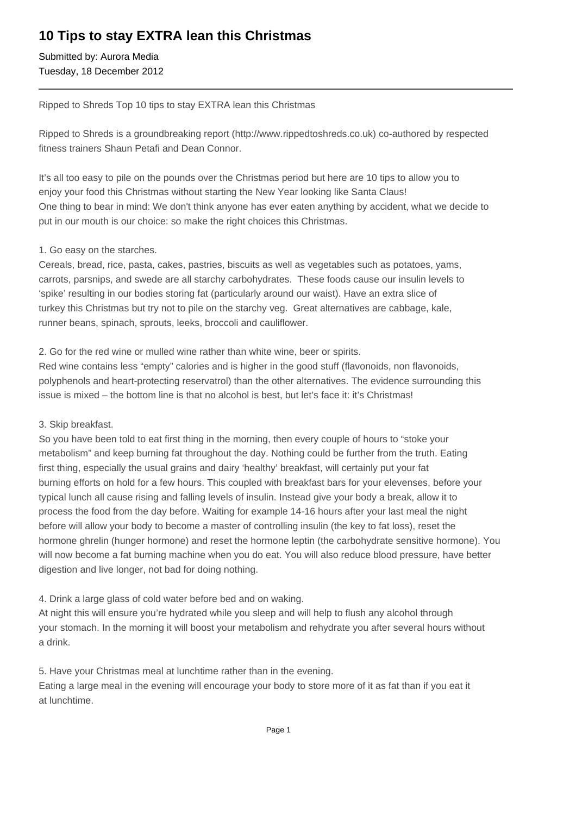# **10 Tips to stay EXTRA lean this Christmas**

Submitted by: Aurora Media Tuesday, 18 December 2012

Ripped to Shreds Top 10 tips to stay EXTRA lean this Christmas

Ripped to Shreds is a groundbreaking report (http://www.rippedtoshreds.co.uk) co-authored by respected fitness trainers Shaun Petafi and Dean Connor.

It's all too easy to pile on the pounds over the Christmas period but here are 10 tips to allow you to enjoy your food this Christmas without starting the New Year looking like Santa Claus! One thing to bear in mind: We don't think anyone has ever eaten anything by accident, what we decide to put in our mouth is our choice: so make the right choices this Christmas.

## 1. Go easy on the starches.

Cereals, bread, rice, pasta, cakes, pastries, biscuits as well as vegetables such as potatoes, yams, carrots, parsnips, and swede are all starchy carbohydrates. These foods cause our insulin levels to 'spike' resulting in our bodies storing fat (particularly around our waist). Have an extra slice of turkey this Christmas but try not to pile on the starchy veg. Great alternatives are cabbage, kale, runner beans, spinach, sprouts, leeks, broccoli and cauliflower.

2. Go for the red wine or mulled wine rather than white wine, beer or spirits.

Red wine contains less "empty" calories and is higher in the good stuff (flavonoids, non flavonoids, polyphenols and heart-protecting reservatrol) than the other alternatives. The evidence surrounding this issue is mixed – the bottom line is that no alcohol is best, but let's face it: it's Christmas!

## 3. Skip breakfast.

So you have been told to eat first thing in the morning, then every couple of hours to "stoke your metabolism" and keep burning fat throughout the day. Nothing could be further from the truth. Eating first thing, especially the usual grains and dairy 'healthy' breakfast, will certainly put your fat burning efforts on hold for a few hours. This coupled with breakfast bars for your elevenses, before your typical lunch all cause rising and falling levels of insulin. Instead give your body a break, allow it to process the food from the day before. Waiting for example 14-16 hours after your last meal the night before will allow your body to become a master of controlling insulin (the key to fat loss), reset the hormone ghrelin (hunger hormone) and reset the hormone leptin (the carbohydrate sensitive hormone). You will now become a fat burning machine when you do eat. You will also reduce blood pressure, have better digestion and live longer, not bad for doing nothing.

4. Drink a large glass of cold water before bed and on waking.

At night this will ensure you're hydrated while you sleep and will help to flush any alcohol through your stomach. In the morning it will boost your metabolism and rehydrate you after several hours without a drink.

5. Have your Christmas meal at lunchtime rather than in the evening.

Eating a large meal in the evening will encourage your body to store more of it as fat than if you eat it at lunchtime.